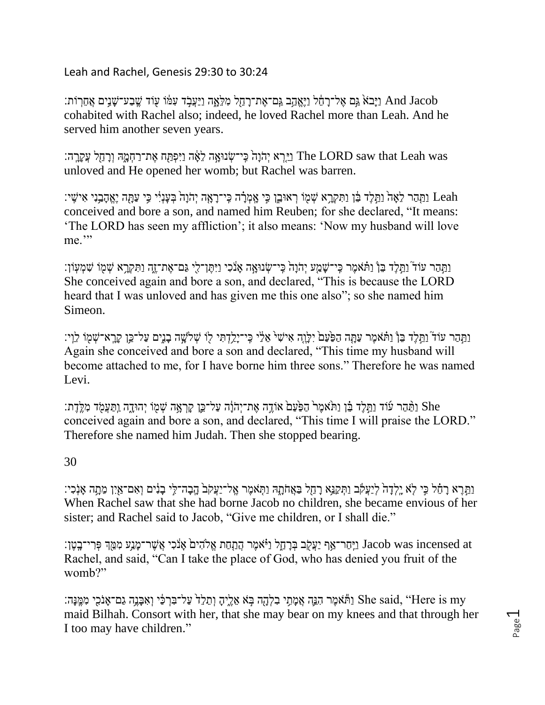Leah and Rachel, Genesis 29:30 to 30:24

ן נַיָּבֹא גַּם אֶל־רָהֶל וַיֵּאֲהָב גַּם־אֶת־רָהֶל מִלְאָָה וַיַּעֲבָׂד עִמּׂו עִוֹד שֱבַע־שָׁנֵים אֲחֵרִוֹת: cohabited with Rachel also; indeed, he loved Rachel more than Leah. And he served him another seven years.

יִהְוָּה כֵּ֣י־שֶׂנוּאָה לֵאֶּה וַיִּפְתַּֽח אֶת־רַחְמֶהּ וְרָחֵל עֲקֶרֶה׃ The LORD saw that Leah was unloved and He opened her womb; but Rachel was barren.

נַתְּהַר לֵאָה וַתֵּלֶד בֵּ֫ן וַתִּקְרָא שְׁמָּוֹ ךְאוּבֵ֣ן כִּי אֲמְרָ֫ה כְּֽי־רָאָה יְהֹוָהֹ בְּעָנְיִ֫י כִּי עַתָּה יֶאֱהָבַנִי אִישָׁי: Leah conceived and bore a son, and named him Reuben; for she declared, "It means: 'The LORD has seen my affliction'; it also means: 'Now my husband will love me."

וַתַּהַר עוֹד וַתֵּלֵד בֵּן וַתֹּאמֶר כִּי־שָׁמֵע יְהֹוָהֹ כִּי־שָׂנוּאָה אָנֹכִי וַיִּתֲן־לִי גַּם־אֶת־זֶה וַתִּקְרָא שְׁמְוֹ שִׁמְעְוֹן: She conceived again and bore a son, and declared, "This is because the LORD heard that I was unloved and has given me this one also"; so she named him Simeon.

וַתַּהַר עוֹד ֿוַתֵּלֵד בֵּן ֿוַתֹּאמֵר עַתֲה הַפַּעַם יִלָּוֶה אִישִׁי אֵלֹי כֵּי־יַלֵדְתִּי לִו שִׁלֹשֶׁה בָנֵים עַל־כֵּן קָרֵא־שָׁמְוֹ לֵיְי: Again she conceived and bore a son and declared, "This time my husband will become attached to me, for I have borne him three sons." Therefore he was named Levi.

She וַתֲּמֶד עַרֹּצֶה הַפְּעַם אוֹדֶה אֶת־יְהֹוָּה עַל־כֵּיֶן קַרְאֵה שְׁמִוֹ יְהוּדֵה וַתַּעֲמִׂד מְלֵּדֶת: conceived again and bore a son, and declared, "This time I will praise the LORD." Therefore she named him Judah. Then she stopped bearing.

## 30

וַתֵּבֶה־לֵּי בַּנִּֽיִם וַאִם־אַיִּן מֶתֵּה אַנְכְי: בְּאֲחֹתָה וַתְּאמֶר אֱל־יַעֲקֹבֹ הֲבָה־לֵי בַנִּים וְאִם־אַיִן מֶתֵה אַנְכְי: When Rachel saw that she had borne Jacob no children, she became envious of her sister; and Rachel said to Jacob, "Give me children, or I shall die."

נֵיְחַר־אַף יַעֲקֶׂב בִּרָחֵל וַיֹּאמֶר הַתַּחַת אֵלֹהִיםׂ אֲנֹכִי אֲשֶׁר־מָנֵע מִמֵּ֖הְ פִּרִי־בָטֶן: Jacob was incensed at Rachel, and said, "Can I take the place of God, who has denied you fruit of the womb?"

נִתְּי בִלְהָה בָּא אֶלֵיהָ וְתֵלֵד עַל־בָּרְכֵּ֫י וְאִבָּנֵֵה גַם־אֲנֹכִי מִמֱנָּה: She said, "Here is my maid Bilhah. Consort with her, that she may bear on my knees and that through her I too may have children."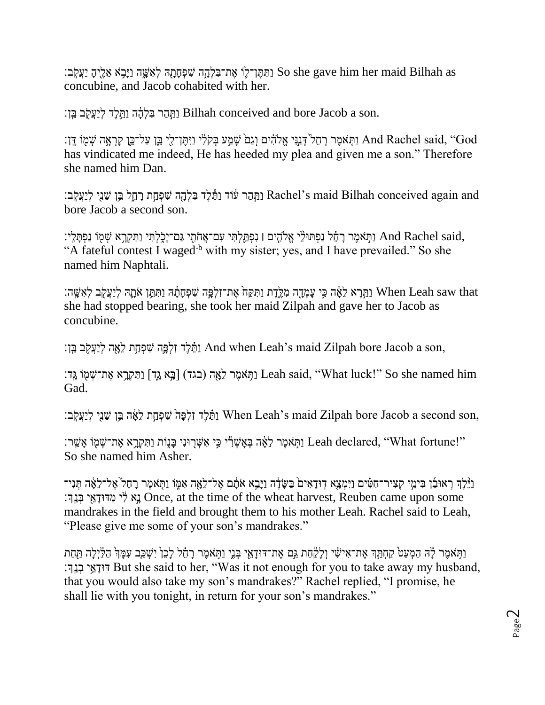וַתְּתֵּ וַ־לָּו אֶ מִתְחָה לְאִשָּׁה וַיָּבָא אֱלֵיהָ יַעֲקִבּ׃ So she gave him her maid Bilhah as concubine, and Jacob cohabited with her.

וַתֲהָר בִּלְהֶה וַתֲּלֵּד לִיַעֲקֹב בֵּוְ׃ Bilhah conceived and bore Jacob a son.

נַתְּאמֶר רָחֵל<sup>י</sup> דָּנְנִּי אֱלֹהִ֫ים וְגַם<sup>ׂ</sup> שָׁמֲעֹ בְּקֹלִׂי וַיִּתֶּן־לֵי בֵּ֣ן עַל־כֵּ֣ן קָרְאָה שְׁמֻוֹ דֶּֽן: "And Rachel said, "God has vindicated me indeed, He has heeded my plea and given me a son." Therefore she named him Dan.

וַתֲהַר עוֹד וַתֵּקֵי בִּלְהָה שִׁפְתַּת רָחֵל בֵּ֣ן שֵׁנִי לְיַעֲקִֽב׃ Rachel's maid Bilhah conceived again and bore Jacob a second son.

יִתְּאמֶר רַחֶּל נַפְתּוּלֵי אֱלִהֶים ן נִפְתֵּלְתִּי עָם־אֲחֹתְי גַם־יַכְלְתִּי וַתִּקְרֵא שְׁמִוֹ נַפְתַּלֵי: And Rachel said, "A fateful contest I waged<sup>-b</sup> with my sister; yes, and I have prevailed." So she named him Naphtali.

then Leah saw that הַחֲרָא לָאֵּה כֵּי עַמְדָה מְלֵדֶת וַתִּקַּח אֶת־זִלְפֵּה שִׁפְחַתֲׁהּ וַתְּחֵֵּן אֹתֵהּ לְיַעֲקֹב לְאִשֵּׁה: she had stopped bearing, she took her maid Zilpah and gave her to Jacob as concubine.

ן, נְתֲּלֶד זָלְפָּה שִׁפְחַת לֵאָה לִיַעֲקִב בֵּן And when Leah's maid Zilpah bore Jacob a son,

וַתְּאמֶר לֵאָה (בגד) [בָּא גֶד] וַתִּקְרָא אֶת־שְׁמִוֹ גֵּד: Leah said, "What luck!" So she named him Gad.

יִבְּיָ לְיַעֲקָבּ׃ When Leah's maid Zilpah bore Jacob a second son,

וַתְּאמֶר לֵאֵּה בְּאֲשֶׁרְיּ כֵּ֣י אִשְׁרִוּנִי בַּנָּוֹת וַתִּקְרֵא אֶת־שָׁמִוֹ אֲשֵׁר: Leah declared, "What fortune!" So she named him Asher.

וַיֵּּכְ֥ךְ רְאוּבֵ֫ן בִּימֵי קְצִיר־חִטִּ֫ים וַיִּמְצָא דְוּדָאִים בַּשָּׂדֶה וַיָּבֵא אֹתָם אֶל־לֵאָה אִמֶּוֹ וַתְּאמֶר רָחֵל אֶל־לֵאֶה תְּנִי־ יַ מְדּוּדָאֵי כְּנֵךְ׃ Once, at the time of the wheat harvest, Reuben came upon some mandrakes in the field and brought them to his mother Leah. Rachel said to Leah, "Please give me some of your son's mandrakes."

וַתְּאמֶר לָּה הַמְעַטֹּ קַחָתֵּךְ אֶת־אִישִׁי וְלַקָּחָת גַּם אֶת־דּוּדָאֵי בְּנֵי וַתְּאמֶר רַחָ֫ל לַכָּן יִשְׁכֵּב עִמַּ֣ךְ הַלַּיְלַה תַּחַת ך׃ְֵַַּּּֽ֤נ ְב י ֵַּ֥א ָּודּד But she said to her, "Was it not enough for you to take away my husband, that you would also take my son's mandrakes?" Rachel replied, "I promise, he shall lie with you tonight, in return for your son's mandrakes."